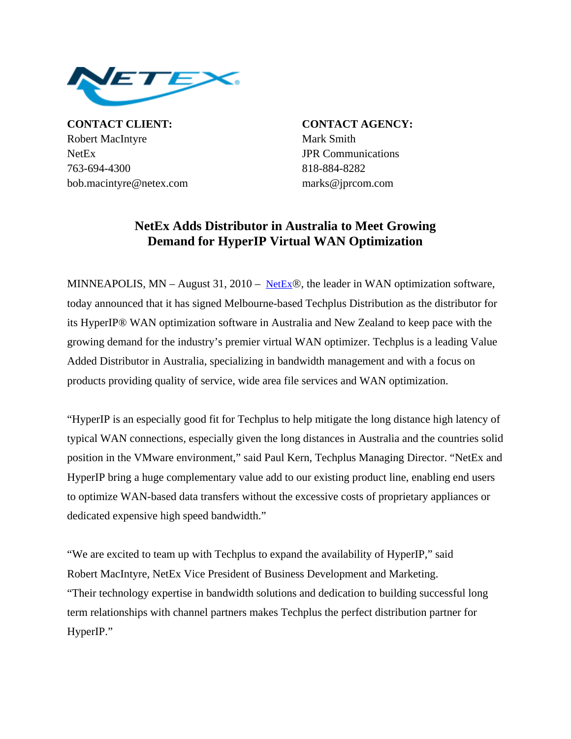

**CONTACT CLIENT: CONTACT AGENCY:** Robert MacIntyre Mark Smith NetEx JPR Communications 763-694-4300 818-884-8282 bob.macintyre@netex.com marks@jprcom.com

## **NetEx Adds Distributor in Australia to Meet Growing Demand for HyperIP Virtual WAN Optimization**

MINNEAPOLIS, MN – August 31, 2010 – [NetEx](http://www.netex.com/)®, the leader in WAN optimization software, today announced that it has signed Melbourne-based Techplus Distribution as the distributor for its HyperIP® WAN optimization software in Australia and New Zealand to keep pace with the growing demand for the industry's premier virtual WAN optimizer. Techplus is a leading Value Added Distributor in Australia, specializing in bandwidth management and with a focus on products providing quality of service, wide area file services and WAN optimization.

"HyperIP is an especially good fit for Techplus to help mitigate the long distance high latency of typical WAN connections, especially given the long distances in Australia and the countries solid position in the VMware environment," said Paul Kern, Techplus Managing Director. "NetEx and HyperIP bring a huge complementary value add to our existing product line, enabling end users to optimize WAN-based data transfers without the excessive costs of proprietary appliances or dedicated expensive high speed bandwidth."

"We are excited to team up with Techplus to expand the availability of HyperIP," said Robert MacIntyre, NetEx Vice President of Business Development and Marketing. "Their technology expertise in bandwidth solutions and dedication to building successful long term relationships with channel partners makes Techplus the perfect distribution partner for HyperIP."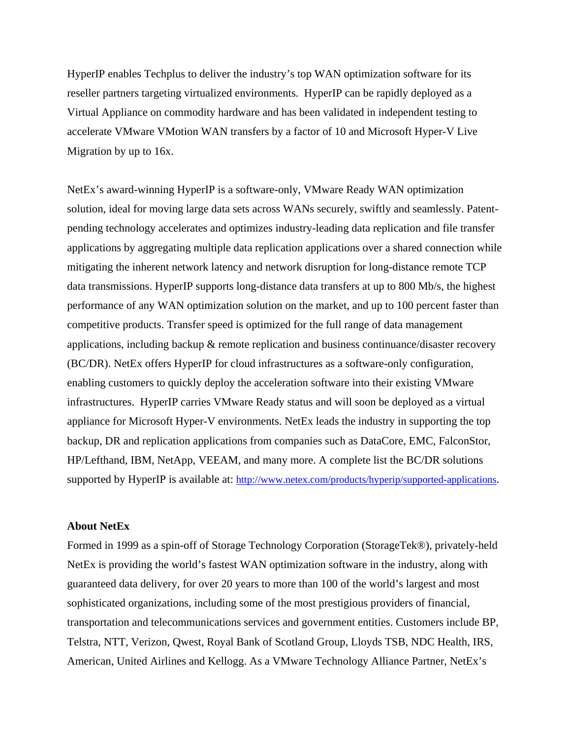HyperIP enables Techplus to deliver the industry's top WAN optimization software for its reseller partners targeting virtualized environments. HyperIP can be rapidly deployed as a Virtual Appliance on commodity hardware and has been validated in independent testing to accelerate VMware VMotion WAN transfers by a factor of 10 and Microsoft Hyper-V Live Migration by up to 16x.

NetEx's award-winning HyperIP is a software-only, VMware Ready WAN optimization solution, ideal for moving large data sets across WANs securely, swiftly and seamlessly. Patentpending technology accelerates and optimizes industry-leading data replication and file transfer applications by aggregating multiple data replication applications over a shared connection while mitigating the inherent network latency and network disruption for long-distance remote TCP data transmissions. HyperIP supports long-distance data transfers at up to 800 Mb/s, the highest performance of any WAN optimization solution on the market, and up to 100 percent faster than competitive products. Transfer speed is optimized for the full range of data management applications, including backup & remote replication and business continuance/disaster recovery (BC/DR). NetEx offers HyperIP for cloud infrastructures as a software-only configuration, enabling customers to quickly deploy the acceleration software into their existing VMware infrastructures. HyperIP carries VMware Ready status and will soon be deployed as a virtual appliance for Microsoft Hyper-V environments. NetEx leads the industry in supporting the top backup, DR and replication applications from companies such as DataCore, EMC, FalconStor, HP/Lefthand, IBM, NetApp, VEEAM, and many more. A complete list the BC/DR solutions supported by HyperIP is available at: [http://www.netex.com/products/hyperip/supported-applications.](http://www.netex.com/products/hyperip/supported-applications)

## **About NetEx**

Formed in 1999 as a spin-off of Storage Technology Corporation (StorageTek®), privately-held NetEx is providing the world's fastest WAN optimization software in the industry, along with guaranteed data delivery, for over 20 years to more than 100 of the world's largest and most sophisticated organizations, including some of the most prestigious providers of financial, transportation and telecommunications services and government entities. Customers include BP, Telstra, NTT, Verizon, Qwest, Royal Bank of Scotland Group, Lloyds TSB, NDC Health, IRS, American, United Airlines and Kellogg. As a VMware Technology Alliance Partner, NetEx's